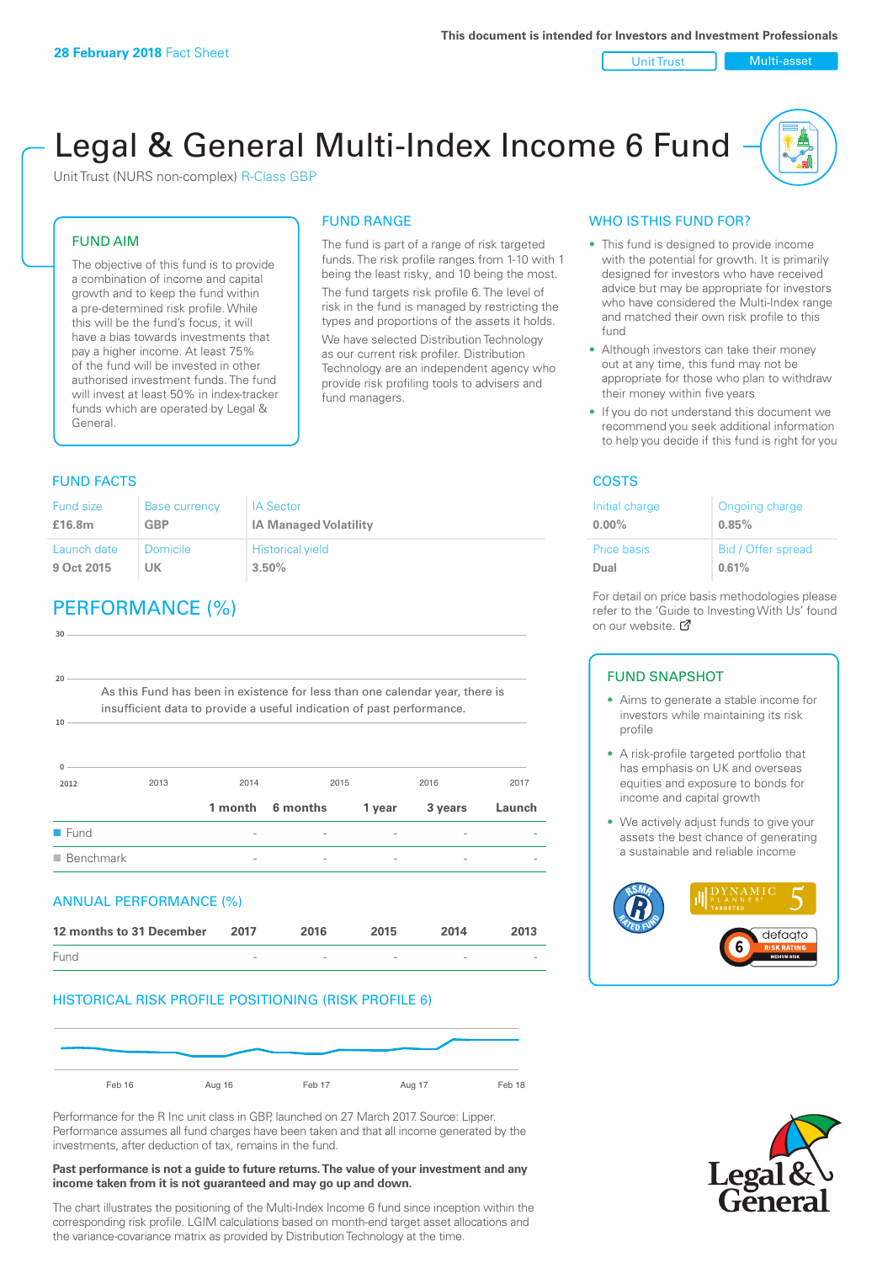Unit Trust | Multi-asset

# Legal & General Multi-Index Income 6 Fund

The fund is part of a range of risk targeted funds. The risk profile ranges from 1-10 with 1 being the least risky, and 10 being the most. The fund targets risk profile 6. The level of risk in the fund is managed by restricting the types and proportions of the assets it holds. We have selected Distribution Technology as our current risk profiler. Distribution Technology are an independent agency who provide risk profiling tools to advisers and

FUND RANGE

fund managers.

Unit Trust (NURS non-complex) R-Class GBP

#### FUND AIM

The objective of this fund is to provide a combination of income and capital growth and to keep the fund within a pre-determined risk profile. While this will be the fund's focus, it will have a bias towards investments that pay a higher income. At least 75% of the fund will be invested in other authorised investment funds. The fund will invest at least 50% in index-tracker funds which are operated by Legal & General.

### FUND FACTS **COSTS**

#### Fund size **£16.8m** Base currency **GBP** IA Sector **IA Managed Volatility** Launch date **9 Oct 2015** Domicile **UK** Historical yield **3.50%**

## PERFORMANCE (%)

| 30                  |                                                                              |         |          |        |         |        |
|---------------------|------------------------------------------------------------------------------|---------|----------|--------|---------|--------|
| 20                  | As this Fund has been in existence for less than one calendar year, there is |         |          |        |         |        |
| $10 -$              | insufficient data to provide a useful indication of past performance.        |         |          |        |         |        |
|                     |                                                                              |         |          |        |         |        |
| $\Omega$<br>2012    | 2013                                                                         | 2014    | 2015     |        | 2016    | 2017   |
|                     |                                                                              | 1 month | 6 months | 1 year | 3 years | Launch |
| $\blacksquare$ Fund |                                                                              |         |          |        |         |        |
|                     | $\blacksquare$ Benchmark                                                     |         |          |        |         |        |
|                     | ANNUAL PERFORMANCE (%)                                                       |         |          |        |         |        |
|                     | 12 months to 31 December                                                     | 2017    | 2016     | 2015   | 2014    | 2013   |
| Fund                |                                                                              |         |          |        |         |        |

#### HISTORICAL RISK PROFILE POSITIONING (RISK PROFILE 6)



Performance for the R Inc unit class in GBP, launched on 27 March 2017. Source: Lipper. Performance assumes all fund charges have been taken and that all income generated by the investments, after deduction of tax, remains in the fund.

#### **Past performance is not a guide to future returns. The value of your investment and any income taken from it is not guaranteed and may go up and down.**

The chart illustrates the positioning of the Multi-Index Income 6 fund since inception within the corresponding risk profile. LGIM calculations based on month-end target asset allocations and the variance-covariance matrix as provided by Distribution Technology at the time.

#### WHO IS THIS FUND FOR?

- This fund is designed to provide income with the potential for growth. It is primarily designed for investors who have received advice but may be appropriate for investors who have considered the Multi-Index range and matched their own risk profile to this fund
- Although investors can take their money out at any time, this fund may not be appropriate for those who plan to withdraw their money within five years
- If you do not understand this document we recommend you seek additional information to help you decide if this fund is right for you

| Initial charge | Ongoing charge     |
|----------------|--------------------|
| $0.00\%$       | 0.85%              |
| Price basis    | Bid / Offer spread |
| Dual           | 0.61%              |

For detail on price basis methodologies please refer to the 'Gu[ide t](http://www.legalandgeneral.com/guide)o Investing With Us' found on our website. Ø

#### FUND SNAPSHOT

- Aims to generate a stable income for investors while maintaining its risk profile
- A risk-profile targeted portfolio that has emphasis on UK and overseas equities and exposure to bonds for income and capital growth
- We actively adjust funds to give your assets the best chance of generating a sustainable and reliable income



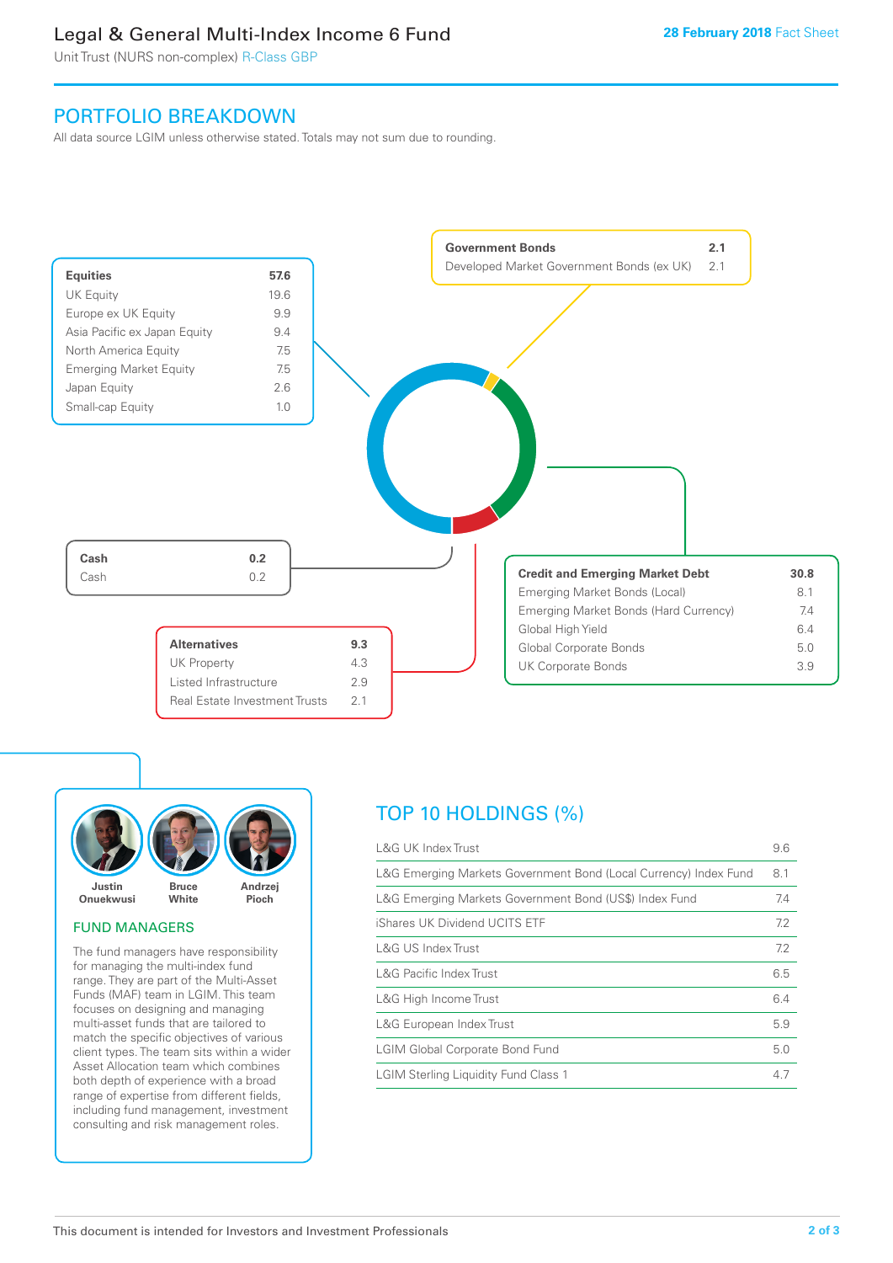### Legal & General Multi-Index Income 6 Fund

Unit Trust (NURS non-complex) R-Class GBP

### PORTFOLIO BREAKDOWN

All data source LGIM unless otherwise stated. Totals may not sum due to rounding.





#### FUND MANAGERS

The fund managers have responsibility for managing the multi-index fund range. They are part of the Multi-Asset Funds (MAF) team in LGIM. This team focuses on designing and managing multi-asset funds that are tailored to match the specific objectives of various client types. The team sits within a wider Asset Allocation team which combines both depth of experience with a broad range of expertise from different fields, including fund management, investment consulting and risk management roles.

## TOP 10 HOLDINGS (%)

| <b>L&amp;G UK Index Trust</b>                                    | 9.6 |
|------------------------------------------------------------------|-----|
| L&G Emerging Markets Government Bond (Local Currency) Index Fund | 8.1 |
| L&G Emerging Markets Government Bond (US\$) Index Fund           | 7.4 |
| iShares UK Dividend UCITS ETF                                    | 7.2 |
| L&G US Index Trust                                               | 7.2 |
| <b>L&amp;G Pacific Index Trust</b>                               | 6.5 |
| L&G High Income Trust                                            | 6.4 |
| L&G European Index Trust                                         | 5.9 |
| <b>LGIM Global Corporate Bond Fund</b>                           | 5.0 |
| <b>LGIM Sterling Liquidity Fund Class 1</b>                      | 4.7 |